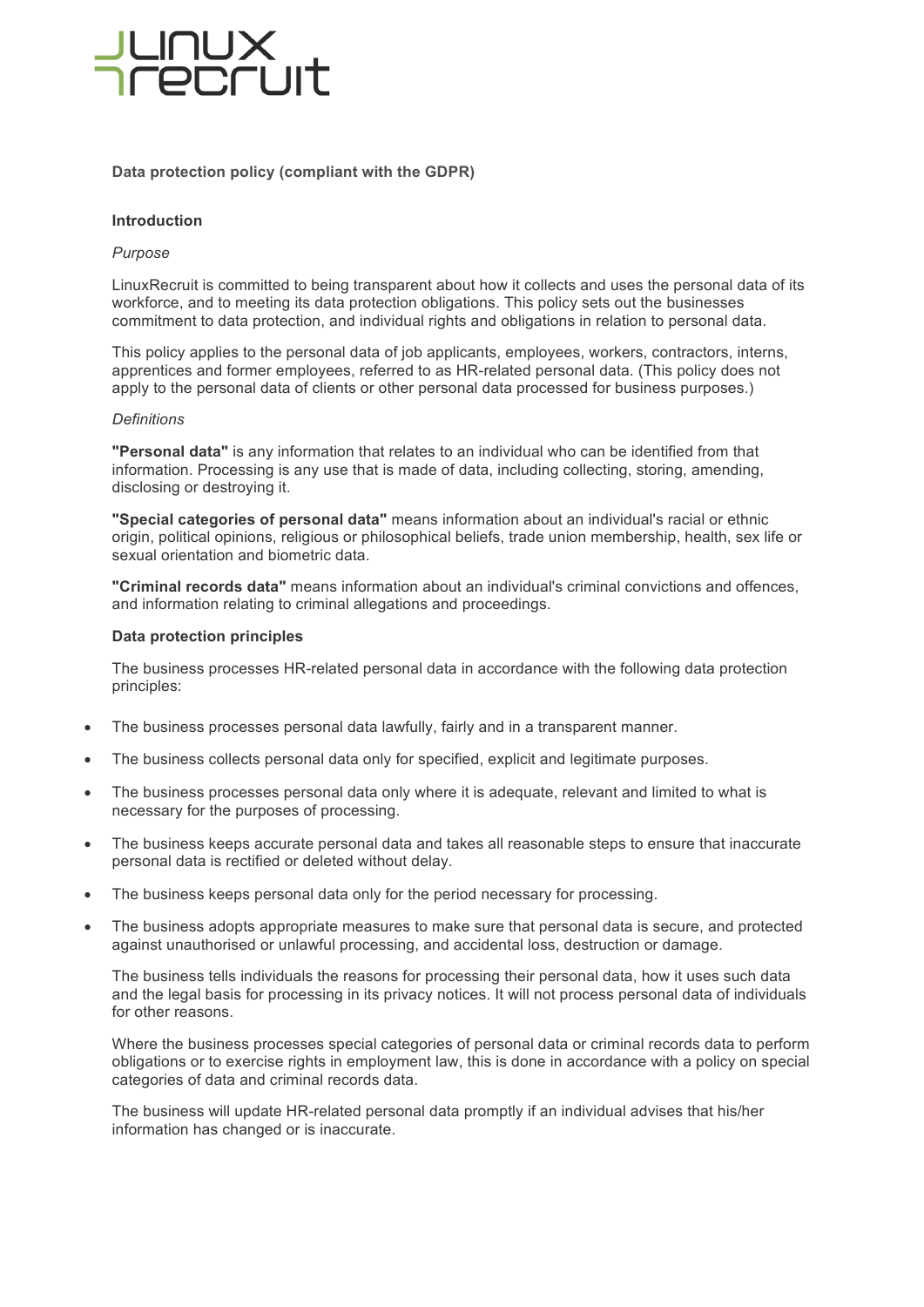# **PECILIT**

# **Data protection policy (compliant with the GDPR)**

# **Introduction**

# *Purpose*

LinuxRecruit is committed to being transparent about how it collects and uses the personal data of its workforce, and to meeting its data protection obligations. This policy sets out the businesses commitment to data protection, and individual rights and obligations in relation to personal data.

This policy applies to the personal data of job applicants, employees, workers, contractors, interns, apprentices and former employees, referred to as HR-related personal data. (This policy does not apply to the personal data of clients or other personal data processed for business purposes.)

### *Definitions*

**"Personal data"** is any information that relates to an individual who can be identified from that information. Processing is any use that is made of data, including collecting, storing, amending, disclosing or destroying it.

**"Special categories of personal data"** means information about an individual's racial or ethnic origin, political opinions, religious or philosophical beliefs, trade union membership, health, sex life or sexual orientation and biometric data.

**"Criminal records data"** means information about an individual's criminal convictions and offences, and information relating to criminal allegations and proceedings.

# **Data protection principles**

The business processes HR-related personal data in accordance with the following data protection principles:

- The business processes personal data lawfully, fairly and in a transparent manner.
- The business collects personal data only for specified, explicit and legitimate purposes.
- The business processes personal data only where it is adequate, relevant and limited to what is necessary for the purposes of processing.
- The business keeps accurate personal data and takes all reasonable steps to ensure that inaccurate personal data is rectified or deleted without delay.
- The business keeps personal data only for the period necessary for processing.
- The business adopts appropriate measures to make sure that personal data is secure, and protected against unauthorised or unlawful processing, and accidental loss, destruction or damage.

The business tells individuals the reasons for processing their personal data, how it uses such data and the legal basis for processing in its privacy notices. It will not process personal data of individuals for other reasons.

Where the business processes special categories of personal data or criminal records data to perform obligations or to exercise rights in employment law, this is done in accordance with a policy on special categories of data and criminal records data.

The business will update HR-related personal data promptly if an individual advises that his/her information has changed or is inaccurate.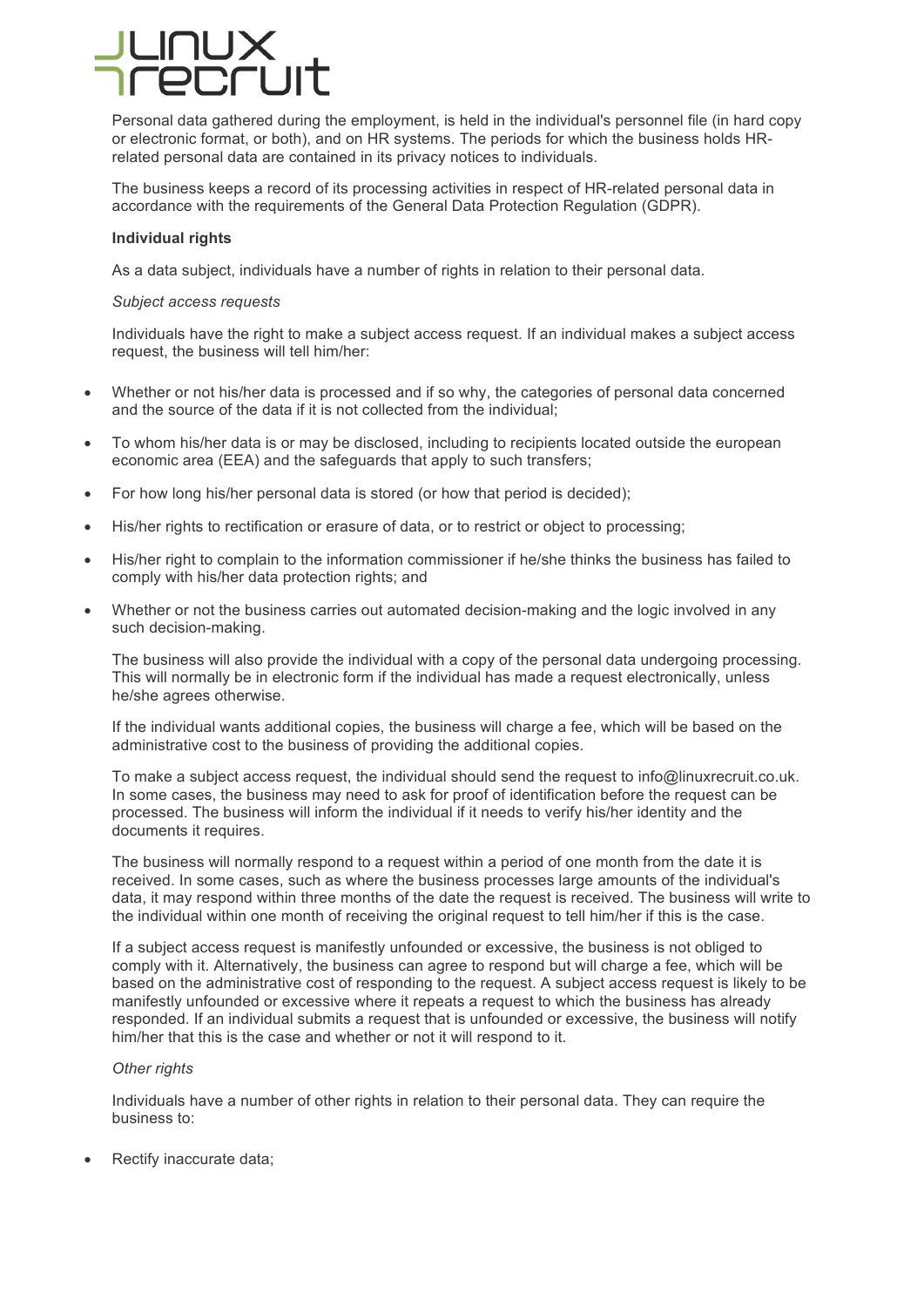Personal data gathered during the employment, is held in the individual's personnel file (in hard copy or electronic format, or both), and on HR systems. The periods for which the business holds HRrelated personal data are contained in its privacy notices to individuals.

The business keeps a record of its processing activities in respect of HR-related personal data in accordance with the requirements of the General Data Protection Regulation (GDPR).

### **Individual rights**

As a data subject, individuals have a number of rights in relation to their personal data.

## *Subject access requests*

Individuals have the right to make a subject access request. If an individual makes a subject access request, the business will tell him/her:

- Whether or not his/her data is processed and if so why, the categories of personal data concerned and the source of the data if it is not collected from the individual;
- To whom his/her data is or may be disclosed, including to recipients located outside the european economic area (EEA) and the safeguards that apply to such transfers;
- For how long his/her personal data is stored (or how that period is decided);
- His/her rights to rectification or erasure of data, or to restrict or object to processing;
- His/her right to complain to the information commissioner if he/she thinks the business has failed to comply with his/her data protection rights; and
- Whether or not the business carries out automated decision-making and the logic involved in any such decision-making.

The business will also provide the individual with a copy of the personal data undergoing processing. This will normally be in electronic form if the individual has made a request electronically, unless he/she agrees otherwise.

If the individual wants additional copies, the business will charge a fee, which will be based on the administrative cost to the business of providing the additional copies.

To make a subject access request, the individual should send the request to info@linuxrecruit.co.uk. In some cases, the business may need to ask for proof of identification before the request can be processed. The business will inform the individual if it needs to verify his/her identity and the documents it requires.

The business will normally respond to a request within a period of one month from the date it is received. In some cases, such as where the business processes large amounts of the individual's data, it may respond within three months of the date the request is received. The business will write to the individual within one month of receiving the original request to tell him/her if this is the case.

If a subject access request is manifestly unfounded or excessive, the business is not obliged to comply with it. Alternatively, the business can agree to respond but will charge a fee, which will be based on the administrative cost of responding to the request. A subject access request is likely to be manifestly unfounded or excessive where it repeats a request to which the business has already responded. If an individual submits a request that is unfounded or excessive, the business will notify him/her that this is the case and whether or not it will respond to it.

### *Other rights*

Individuals have a number of other rights in relation to their personal data. They can require the business to:

Rectify inaccurate data;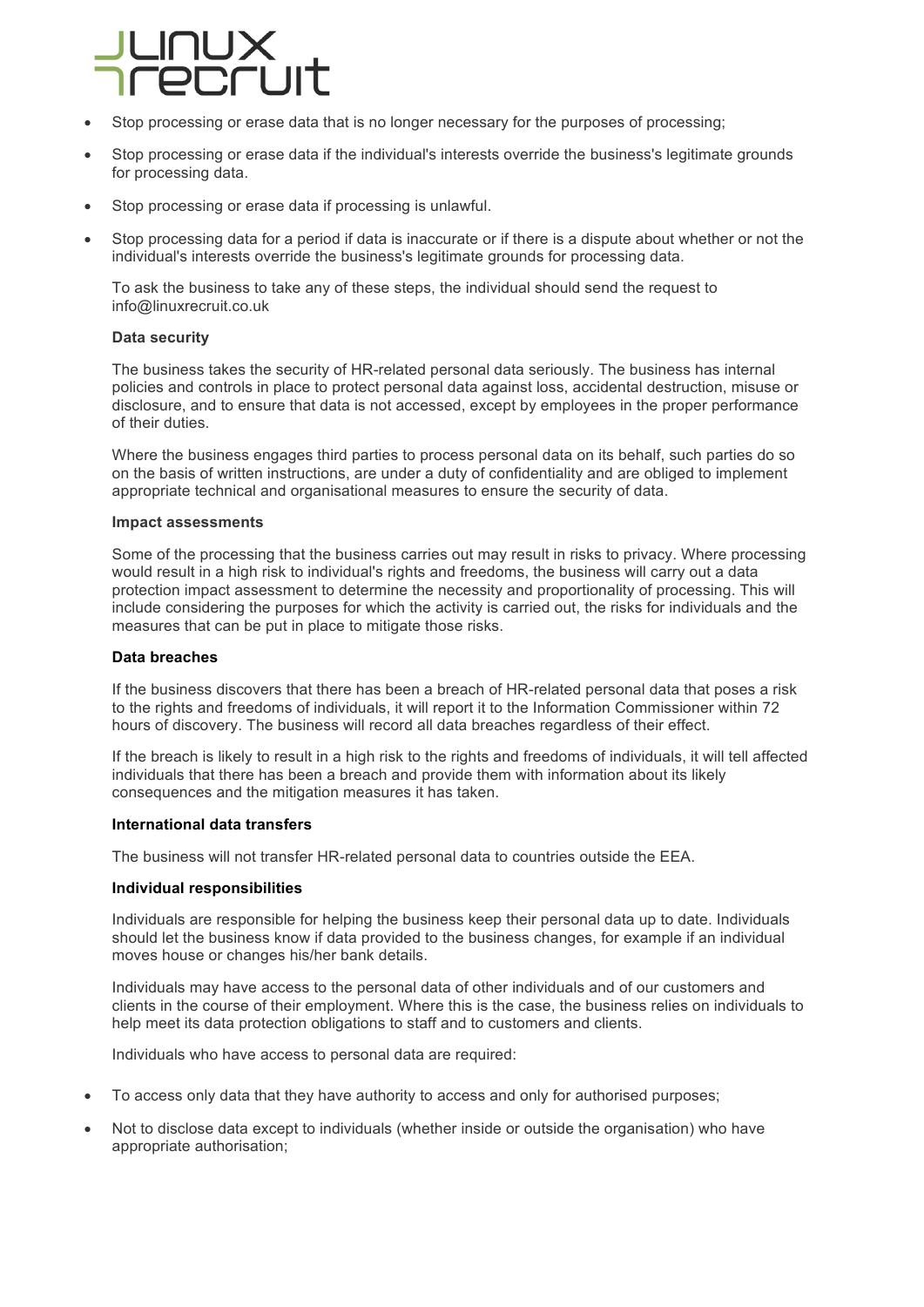

- Stop processing or erase data that is no longer necessary for the purposes of processing;
- Stop processing or erase data if the individual's interests override the business's legitimate grounds for processing data.
- Stop processing or erase data if processing is unlawful.
- Stop processing data for a period if data is inaccurate or if there is a dispute about whether or not the individual's interests override the business's legitimate grounds for processing data.

To ask the business to take any of these steps, the individual should send the request to info@linuxrecruit.co.uk

# **Data security**

The business takes the security of HR-related personal data seriously. The business has internal policies and controls in place to protect personal data against loss, accidental destruction, misuse or disclosure, and to ensure that data is not accessed, except by employees in the proper performance of their duties.

Where the business engages third parties to process personal data on its behalf, such parties do so on the basis of written instructions, are under a duty of confidentiality and are obliged to implement appropriate technical and organisational measures to ensure the security of data.

#### **Impact assessments**

Some of the processing that the business carries out may result in risks to privacy. Where processing would result in a high risk to individual's rights and freedoms, the business will carry out a data protection impact assessment to determine the necessity and proportionality of processing. This will include considering the purposes for which the activity is carried out, the risks for individuals and the measures that can be put in place to mitigate those risks.

### **Data breaches**

If the business discovers that there has been a breach of HR-related personal data that poses a risk to the rights and freedoms of individuals, it will report it to the Information Commissioner within 72 hours of discovery. The business will record all data breaches regardless of their effect.

If the breach is likely to result in a high risk to the rights and freedoms of individuals, it will tell affected individuals that there has been a breach and provide them with information about its likely consequences and the mitigation measures it has taken.

### **International data transfers**

The business will not transfer HR-related personal data to countries outside the EEA.

#### **Individual responsibilities**

Individuals are responsible for helping the business keep their personal data up to date. Individuals should let the business know if data provided to the business changes, for example if an individual moves house or changes his/her bank details.

Individuals may have access to the personal data of other individuals and of our customers and clients in the course of their employment. Where this is the case, the business relies on individuals to help meet its data protection obligations to staff and to customers and clients.

Individuals who have access to personal data are required:

- To access only data that they have authority to access and only for authorised purposes;
- Not to disclose data except to individuals (whether inside or outside the organisation) who have appropriate authorisation;